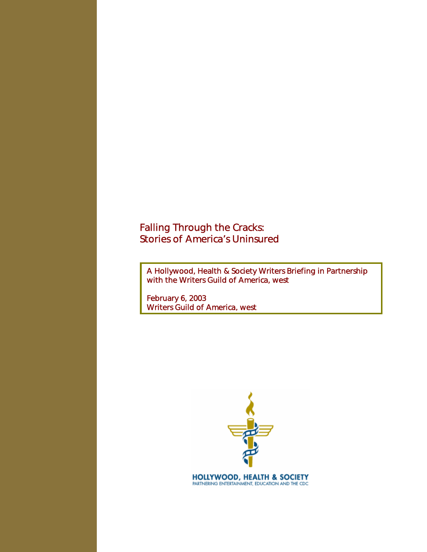# Falling Through the Cracks: Stories of America's Uninsured

A Hollywood, Health & Society Writers Briefing in Partnership with the Writers Guild of America, west

February 6, 2003 Writers Guild of America, west

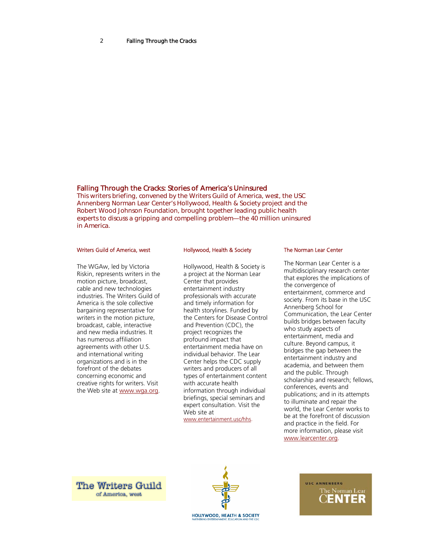# Falling Through the Cracks: Stories of America's Uninsured

This writers briefing, convened by the Writers Guild of America, west, the USC Annenberg Norman Lear Center's Hollywood, Health & Society project and the Robert Wood Johnson Foundation, brought together leading public health experts to discuss a gripping and compelling problem—the 40 million uninsured in America.

### Writers Guild of America, west

The WGAw, led by Victoria Riskin, represents writers in the motion picture, broadcast, cable and new technologies industries. The Writers Guild of America is the sole collective bargaining representative for writers in the motion picture, broadcast, cable, interactive and new media industries. It has numerous affiliation agreements with other U.S. and international writing organizations and is in the forefront of the debates concerning economic and creative rights for writers. Visit the Web site at www.wga.org.

## Hollywood, Health & Society

Hollywood, Health & Society is a project at the Norman Lear Center that provides entertainment industry professionals with accurate and timely information for health storylines. Funded by the Centers for Disease Control and Prevention (CDC), the project recognizes the profound impact that entertainment media have on individual behavior. The Lear Center helps the CDC supply writers and producers of all types of entertainment content with accurate health information through individual briefings, special seminars and expert consultation. Visit the Web site at www.entertainment.usc/hhs.

### The Norman Lear Center

The Norman Lear Center is a multidisciplinary research center that explores the implications of the convergence of entertainment, commerce and society. From its base in the USC Annenberg School for Communication, the Lear Center builds bridges between faculty who study aspects of entertainment, media and culture. Beyond campus, it bridges the gap between the entertainment industry and academia, and between them and the public. Through scholarship and research; fellows, conferences, events and publications; and in its attempts to illuminate and repair the world, the Lear Center works to be at the forefront of discussion and practice in the field. For more information, please visit www.learcenter.org.

**The Writers Guild** of America, west



USC ANNENBERG The Norman Lear ENTER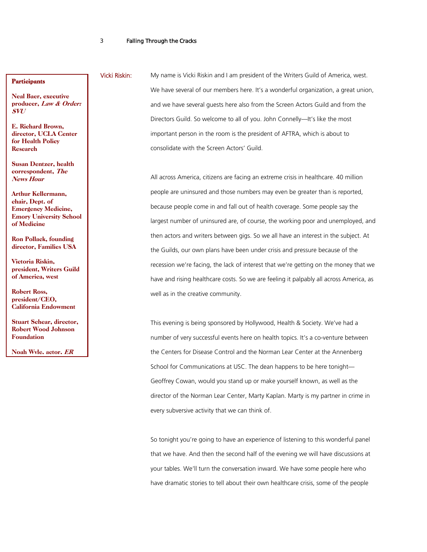# **Participants**

Neal Baer, executive producer, Law & Order: SVU

E. Richard Brown, director, UCLA Center for Health Policy Research

Susan Dentzer, health correspondent, The News Hour

Arthur Kellermann, chair, Dept. of Emergency Medicine, Emory University School of Medicine

Ron Pollack, founding director, Families USA

Victoria Riskin, president, Writers Guild of America, west

Robert Ross, president/CEO, California Endowment

Stuart Schear, director, Robert Wood Johnson Foundation

Noah Wyle, actor, ER

Vicki Riskin: My name is Vicki Riskin and I am president of the Writers Guild of America, west. We have several of our members here. It's a wonderful organization, a great union, and we have several guests here also from the Screen Actors Guild and from the Directors Guild. So welcome to all of you. John Connelly—It's like the most important person in the room is the president of AFTRA, which is about to consolidate with the Screen Actors' Guild.

> All across America, citizens are facing an extreme crisis in healthcare. 40 million people are uninsured and those numbers may even be greater than is reported, because people come in and fall out of health coverage. Some people say the largest number of uninsured are, of course, the working poor and unemployed, and then actors and writers between gigs. So we all have an interest in the subject. At the Guilds, our own plans have been under crisis and pressure because of the recession we're facing, the lack of interest that we're getting on the money that we have and rising healthcare costs. So we are feeling it palpably all across America, as well as in the creative community.

This evening is being sponsored by Hollywood, Health & Society. We've had a number of very successful events here on health topics. It's a co-venture between the Centers for Disease Control and the Norman Lear Center at the Annenberg School for Communications at USC. The dean happens to be here tonight— Geoffrey Cowan, would you stand up or make yourself known, as well as the director of the Norman Lear Center, Marty Kaplan. Marty is my partner in crime in every subversive activity that we can think of.

So tonight you're going to have an experience of listening to this wonderful panel that we have. And then the second half of the evening we will have discussions at your tables. We'll turn the conversation inward. We have some people here who have dramatic stories to tell about their own healthcare crisis, some of the people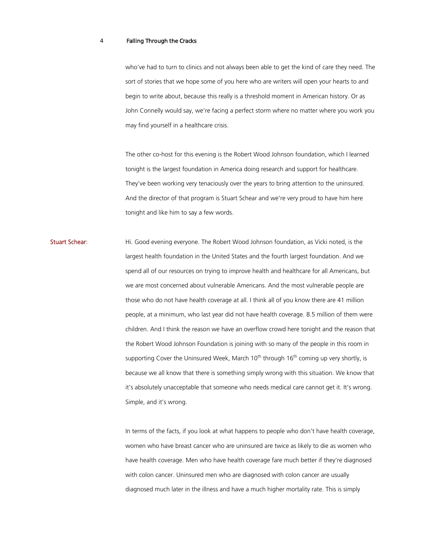who've had to turn to clinics and not always been able to get the kind of care they need. The sort of stories that we hope some of you here who are writers will open your hearts to and begin to write about, because this really is a threshold moment in American history. Or as John Connelly would say, we're facing a perfect storm where no matter where you work you may find yourself in a healthcare crisis.

The other co-host for this evening is the Robert Wood Johnson foundation, which I learned tonight is the largest foundation in America doing research and support for healthcare. They've been working very tenaciously over the years to bring attention to the uninsured. And the director of that program is Stuart Schear and we're very proud to have him here tonight and like him to say a few words.

Stuart Schear: Hi. Good evening everyone. The Robert Wood Johnson foundation, as Vicki noted, is the largest health foundation in the United States and the fourth largest foundation. And we spend all of our resources on trying to improve health and healthcare for all Americans, but we are most concerned about vulnerable Americans. And the most vulnerable people are those who do not have health coverage at all. I think all of you know there are 41 million people, at a minimum, who last year did not have health coverage. 8.5 million of them were children. And I think the reason we have an overflow crowd here tonight and the reason that the Robert Wood Johnson Foundation is joining with so many of the people in this room in supporting Cover the Uninsured Week, March  $10<sup>th</sup>$  through  $16<sup>th</sup>$  coming up very shortly, is because we all know that there is something simply wrong with this situation. We know that it's absolutely unacceptable that someone who needs medical care cannot get it. It's wrong. Simple, and it's wrong.

> In terms of the facts, if you look at what happens to people who don't have health coverage, women who have breast cancer who are uninsured are twice as likely to die as women who have health coverage. Men who have health coverage fare much better if they're diagnosed with colon cancer. Uninsured men who are diagnosed with colon cancer are usually diagnosed much later in the illness and have a much higher mortality rate. This is simply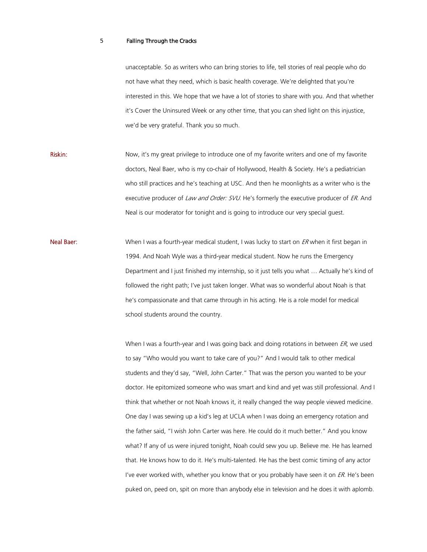unacceptable. So as writers who can bring stories to life, tell stories of real people who do not have what they need, which is basic health coverage. We're delighted that you're interested in this. We hope that we have a lot of stories to share with you. And that whether it's Cover the Uninsured Week or any other time, that you can shed light on this injustice, we'd be very grateful. Thank you so much.

Riskin: Now, it's my great privilege to introduce one of my favorite writers and one of my favorite doctors, Neal Baer, who is my co-chair of Hollywood, Health & Society. He's a pediatrician who still practices and he's teaching at USC. And then he moonlights as a writer who is the executive producer of Law and Order: SVU. He's formerly the executive producer of ER. And Neal is our moderator for tonight and is going to introduce our very special guest.

Neal Baer: When I was a fourth-year medical student, I was lucky to start on *ER* when it first began in 1994. And Noah Wyle was a third-year medical student. Now he runs the Emergency Department and I just finished my internship, so it just tells you what … Actually he's kind of followed the right path; I've just taken longer. What was so wonderful about Noah is that he's compassionate and that came through in his acting. He is a role model for medical school students around the country.

> When I was a fourth-year and I was going back and doing rotations in between  $ER$ , we used to say "Who would you want to take care of you?" And I would talk to other medical students and they'd say, "Well, John Carter." That was the person you wanted to be your doctor. He epitomized someone who was smart and kind and yet was still professional. And I think that whether or not Noah knows it, it really changed the way people viewed medicine. One day I was sewing up a kid's leg at UCLA when I was doing an emergency rotation and the father said, "I wish John Carter was here. He could do it much better." And you know what? If any of us were injured tonight, Noah could sew you up. Believe me. He has learned that. He knows how to do it. He's multi-talented. He has the best comic timing of any actor I've ever worked with, whether you know that or you probably have seen it on  $ER$ . He's been puked on, peed on, spit on more than anybody else in television and he does it with aplomb.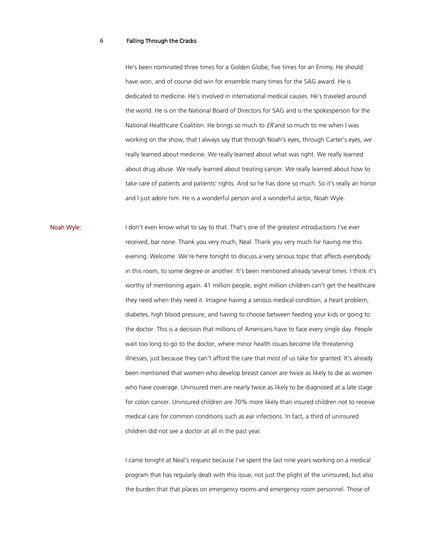He's been nominated three times for a Golden Globe, five times for an Emmy. He should have won, and of course did win for ensemble many times for the SAG award. He is dedicated to medicine. He's involved in international medical causes. He's traveled around the world. He is on the National Board of Directors for SAG and is the spokesperson for the National Healthcare Coalition. He brings so much to  $ER$  and so much to me when I was working on the show, that I always say that through Noah's eyes, through Carter's eyes, we really learned about medicine. We really learned about what was right. We really learned about drug abuse. We really learned about treating cancer. We really learned about how to take care of patients and patients' rights. And so he has done so much. So it's really an honor and I just adore him. He is a wonderful person and a wonderful actor, Noah Wyle.

Noah Wyle: I don't even know what to say to that. That's one of the greatest introductions I've ever received, bar none. Thank you very much, Neal. Thank you very much for having me this evening. Welcome. We're here tonight to discuss a very serious topic that affects everybody in this room, to some degree or another. It's been mentioned already several times. I think it's worthy of mentioning again. 41 million people, eight million children can't get the healthcare they need when they need it. Imagine having a serious medical condition, a heart problem, diabetes, high blood pressure, and having to choose between feeding your kids or going to the doctor. This is a decision that millions of Americans have to face every single day. People wait too long to go to the doctor, where minor health issues become life threatening illnesses, just because they can't afford the care that most of us take for granted. It's already been mentioned that women who develop breast cancer are twice as likely to die as women who have coverage. Uninsured men are nearly twice as likely to be diagnosed at a late stage for colon cancer. Uninsured children are 70% more likely than insured children not to receive medical care for common conditions such as ear infections. In fact, a third of uninsured children did not see a doctor at all in the past year.

> I came tonight at Neal's request because I've spent the last nine years working on a medical program that has regularly dealt with this issue, not just the plight of the uninsured, but also the burden that that places on emergency rooms and emergency room personnel. Those of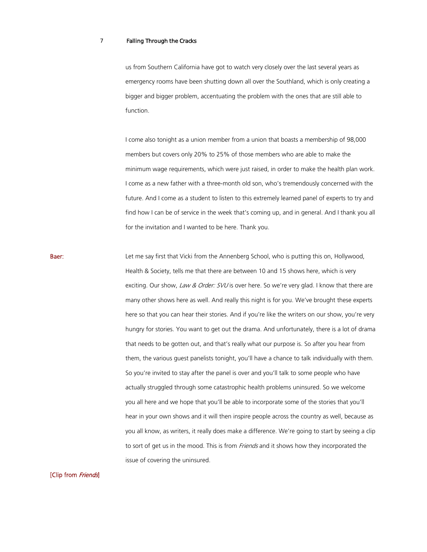us from Southern California have got to watch very closely over the last several years as emergency rooms have been shutting down all over the Southland, which is only creating a bigger and bigger problem, accentuating the problem with the ones that are still able to function.

I come also tonight as a union member from a union that boasts a membership of 98,000 members but covers only 20% to 25% of those members who are able to make the minimum wage requirements, which were just raised, in order to make the health plan work. I come as a new father with a three-month old son, who's tremendously concerned with the future. And I come as a student to listen to this extremely learned panel of experts to try and find how I can be of service in the week that's coming up, and in general. And I thank you all for the invitation and I wanted to be here. Thank you.

Baer: Let me say first that Vicki from the Annenberg School, who is putting this on, Hollywood, Health & Society, tells me that there are between 10 and 15 shows here, which is very exciting. Our show, Law & Order: SVU is over here. So we're very glad. I know that there are many other shows here as well. And really this night is for you. We've brought these experts here so that you can hear their stories. And if you're like the writers on our show, you're very hungry for stories. You want to get out the drama. And unfortunately, there is a lot of drama that needs to be gotten out, and that's really what our purpose is. So after you hear from them, the various guest panelists tonight, you'll have a chance to talk individually with them. So you're invited to stay after the panel is over and you'll talk to some people who have actually struggled through some catastrophic health problems uninsured. So we welcome you all here and we hope that you'll be able to incorporate some of the stories that you'll hear in your own shows and it will then inspire people across the country as well, because as you all know, as writers, it really does make a difference. We're going to start by seeing a clip to sort of get us in the mood. This is from *Friends* and it shows how they incorporated the issue of covering the uninsured.

[Clip from Friends]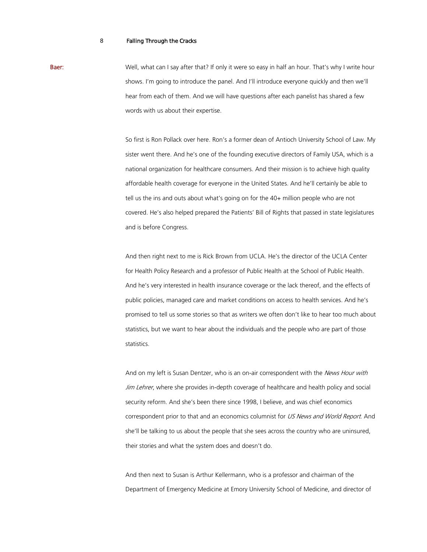Baer: Well, what can I say after that? If only it were so easy in half an hour. That's why I write hour shows. I'm going to introduce the panel. And I'll introduce everyone quickly and then we'll hear from each of them. And we will have questions after each panelist has shared a few words with us about their expertise.

> So first is Ron Pollack over here. Ron's a former dean of Antioch University School of Law. My sister went there. And he's one of the founding executive directors of Family USA, which is a national organization for healthcare consumers. And their mission is to achieve high quality affordable health coverage for everyone in the United States. And he'll certainly be able to tell us the ins and outs about what's going on for the 40+ million people who are not covered. He's also helped prepared the Patients' Bill of Rights that passed in state legislatures and is before Congress.

> And then right next to me is Rick Brown from UCLA. He's the director of the UCLA Center for Health Policy Research and a professor of Public Health at the School of Public Health. And he's very interested in health insurance coverage or the lack thereof, and the effects of public policies, managed care and market conditions on access to health services. And he's promised to tell us some stories so that as writers we often don't like to hear too much about statistics, but we want to hear about the individuals and the people who are part of those statistics.

> And on my left is Susan Dentzer, who is an on-air correspondent with the News Hour with Jim Lehrer, where she provides in-depth coverage of healthcare and health policy and social security reform. And she's been there since 1998, I believe, and was chief economics correspondent prior to that and an economics columnist for US News and World Report. And she'll be talking to us about the people that she sees across the country who are uninsured, their stories and what the system does and doesn't do.

And then next to Susan is Arthur Kellermann, who is a professor and chairman of the Department of Emergency Medicine at Emory University School of Medicine, and director of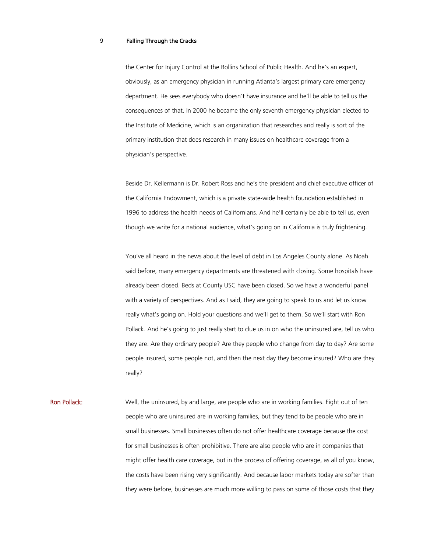the Center for Injury Control at the Rollins School of Public Health. And he's an expert, obviously, as an emergency physician in running Atlanta's largest primary care emergency department. He sees everybody who doesn't have insurance and he'll be able to tell us the consequences of that. In 2000 he became the only seventh emergency physician elected to the Institute of Medicine, which is an organization that researches and really is sort of the primary institution that does research in many issues on healthcare coverage from a physician's perspective.

Beside Dr. Kellermann is Dr. Robert Ross and he's the president and chief executive officer of the California Endowment, which is a private state-wide health foundation established in 1996 to address the health needs of Californians. And he'll certainly be able to tell us, even though we write for a national audience, what's going on in California is truly frightening.

You've all heard in the news about the level of debt in Los Angeles County alone. As Noah said before, many emergency departments are threatened with closing. Some hospitals have already been closed. Beds at County USC have been closed. So we have a wonderful panel with a variety of perspectives. And as I said, they are going to speak to us and let us know really what's going on. Hold your questions and we'll get to them. So we'll start with Ron Pollack. And he's going to just really start to clue us in on who the uninsured are, tell us who they are. Are they ordinary people? Are they people who change from day to day? Are some people insured, some people not, and then the next day they become insured? Who are they really?

Ron Pollack: Well, the uninsured, by and large, are people who are in working families. Eight out of ten people who are uninsured are in working families, but they tend to be people who are in small businesses. Small businesses often do not offer healthcare coverage because the cost for small businesses is often prohibitive. There are also people who are in companies that might offer health care coverage, but in the process of offering coverage, as all of you know, the costs have been rising very significantly. And because labor markets today are softer than they were before, businesses are much more willing to pass on some of those costs that they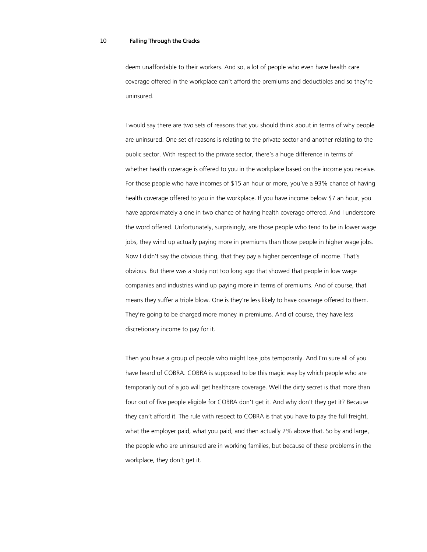deem unaffordable to their workers. And so, a lot of people who even have health care coverage offered in the workplace can't afford the premiums and deductibles and so they're uninsured.

I would say there are two sets of reasons that you should think about in terms of why people are uninsured. One set of reasons is relating to the private sector and another relating to the public sector. With respect to the private sector, there's a huge difference in terms of whether health coverage is offered to you in the workplace based on the income you receive. For those people who have incomes of \$15 an hour or more, you've a 93% chance of having health coverage offered to you in the workplace. If you have income below \$7 an hour, you have approximately a one in two chance of having health coverage offered. And I underscore the word offered. Unfortunately, surprisingly, are those people who tend to be in lower wage jobs, they wind up actually paying more in premiums than those people in higher wage jobs. Now I didn't say the obvious thing, that they pay a higher percentage of income. That's obvious. But there was a study not too long ago that showed that people in low wage companies and industries wind up paying more in terms of premiums. And of course, that means they suffer a triple blow. One is they're less likely to have coverage offered to them. They're going to be charged more money in premiums. And of course, they have less discretionary income to pay for it.

Then you have a group of people who might lose jobs temporarily. And I'm sure all of you have heard of COBRA. COBRA is supposed to be this magic way by which people who are temporarily out of a job will get healthcare coverage. Well the dirty secret is that more than four out of five people eligible for COBRA don't get it. And why don't they get it? Because they can't afford it. The rule with respect to COBRA is that you have to pay the full freight, what the employer paid, what you paid, and then actually 2% above that. So by and large, the people who are uninsured are in working families, but because of these problems in the workplace, they don't get it.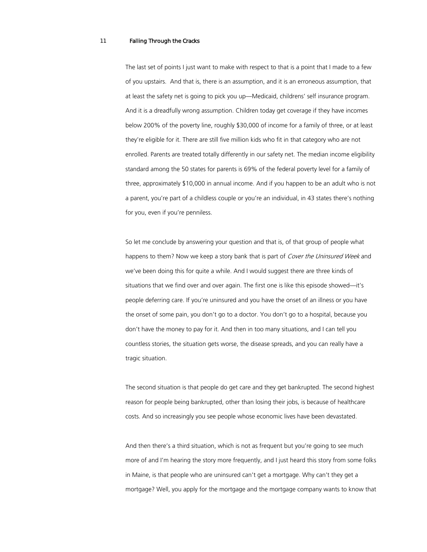The last set of points I just want to make with respect to that is a point that I made to a few of you upstairs. And that is, there is an assumption, and it is an erroneous assumption, that at least the safety net is going to pick you up—Medicaid, childrens' self insurance program. And it is a dreadfully wrong assumption. Children today get coverage if they have incomes below 200% of the poverty line, roughly \$30,000 of income for a family of three, or at least they're eligible for it. There are still five million kids who fit in that category who are not enrolled. Parents are treated totally differently in our safety net. The median income eligibility standard among the 50 states for parents is 69% of the federal poverty level for a family of three, approximately \$10,000 in annual income. And if you happen to be an adult who is not a parent, you're part of a childless couple or you're an individual, in 43 states there's nothing for you, even if you're penniless.

So let me conclude by answering your question and that is, of that group of people what happens to them? Now we keep a story bank that is part of Cover the Uninsured Week and we've been doing this for quite a while. And I would suggest there are three kinds of situations that we find over and over again. The first one is like this episode showed—it's people deferring care. If you're uninsured and you have the onset of an illness or you have the onset of some pain, you don't go to a doctor. You don't go to a hospital, because you don't have the money to pay for it. And then in too many situations, and I can tell you countless stories, the situation gets worse, the disease spreads, and you can really have a tragic situation.

The second situation is that people do get care and they get bankrupted. The second highest reason for people being bankrupted, other than losing their jobs, is because of healthcare costs. And so increasingly you see people whose economic lives have been devastated.

And then there's a third situation, which is not as frequent but you're going to see much more of and I'm hearing the story more frequently, and I just heard this story from some folks in Maine, is that people who are uninsured can't get a mortgage. Why can't they get a mortgage? Well, you apply for the mortgage and the mortgage company wants to know that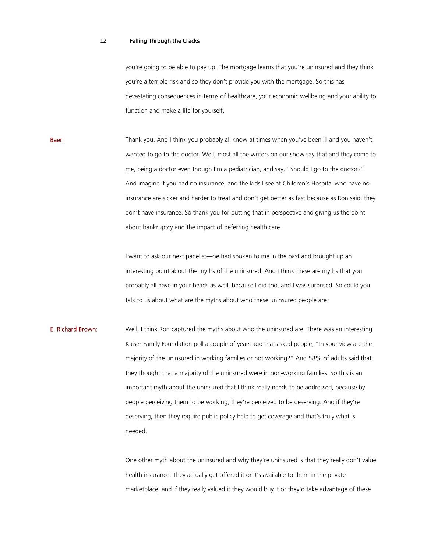you're going to be able to pay up. The mortgage learns that you're uninsured and they think you're a terrible risk and so they don't provide you with the mortgage. So this has devastating consequences in terms of healthcare, your economic wellbeing and your ability to function and make a life for yourself.

Baer: Thank you. And I think you probably all know at times when you've been ill and you haven't wanted to go to the doctor. Well, most all the writers on our show say that and they come to me, being a doctor even though I'm a pediatrician, and say, "Should I go to the doctor?" And imagine if you had no insurance, and the kids I see at Children's Hospital who have no insurance are sicker and harder to treat and don't get better as fast because as Ron said, they don't have insurance. So thank you for putting that in perspective and giving us the point about bankruptcy and the impact of deferring health care.

> I want to ask our next panelist—he had spoken to me in the past and brought up an interesting point about the myths of the uninsured. And I think these are myths that you probably all have in your heads as well, because I did too, and I was surprised. So could you talk to us about what are the myths about who these uninsured people are?

**E. Richard Brown:** Well, I think Ron captured the myths about who the uninsured are. There was an interesting Kaiser Family Foundation poll a couple of years ago that asked people, "In your view are the majority of the uninsured in working families or not working?" And 58% of adults said that they thought that a majority of the uninsured were in non-working families. So this is an important myth about the uninsured that I think really needs to be addressed, because by people perceiving them to be working, they're perceived to be deserving. And if they're deserving, then they require public policy help to get coverage and that's truly what is needed.

> One other myth about the uninsured and why they're uninsured is that they really don't value health insurance. They actually get offered it or it's available to them in the private marketplace, and if they really valued it they would buy it or they'd take advantage of these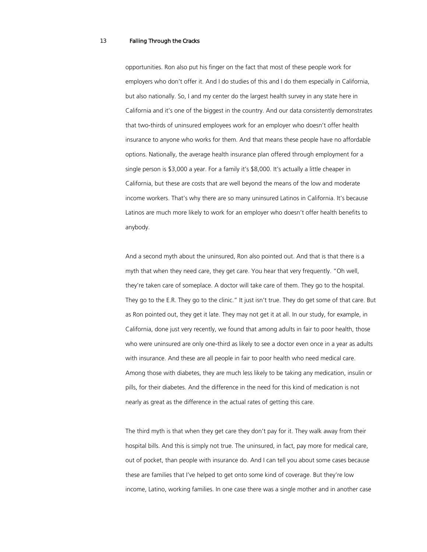opportunities. Ron also put his finger on the fact that most of these people work for employers who don't offer it. And I do studies of this and I do them especially in California, but also nationally. So, I and my center do the largest health survey in any state here in California and it's one of the biggest in the country. And our data consistently demonstrates that two-thirds of uninsured employees work for an employer who doesn't offer health insurance to anyone who works for them. And that means these people have no affordable options. Nationally, the average health insurance plan offered through employment for a single person is \$3,000 a year. For a family it's \$8,000. It's actually a little cheaper in California, but these are costs that are well beyond the means of the low and moderate income workers. That's why there are so many uninsured Latinos in California. It's because Latinos are much more likely to work for an employer who doesn't offer health benefits to anybody.

And a second myth about the uninsured, Ron also pointed out. And that is that there is a myth that when they need care, they get care. You hear that very frequently. "Oh well, they're taken care of someplace. A doctor will take care of them. They go to the hospital. They go to the E.R. They go to the clinic." It just isn't true. They do get some of that care. But as Ron pointed out, they get it late. They may not get it at all. In our study, for example, in California, done just very recently, we found that among adults in fair to poor health, those who were uninsured are only one-third as likely to see a doctor even once in a year as adults with insurance. And these are all people in fair to poor health who need medical care. Among those with diabetes, they are much less likely to be taking any medication, insulin or pills, for their diabetes. And the difference in the need for this kind of medication is not nearly as great as the difference in the actual rates of getting this care.

The third myth is that when they get care they don't pay for it. They walk away from their hospital bills. And this is simply not true. The uninsured, in fact, pay more for medical care, out of pocket, than people with insurance do. And I can tell you about some cases because these are families that I've helped to get onto some kind of coverage. But they're low income, Latino, working families. In one case there was a single mother and in another case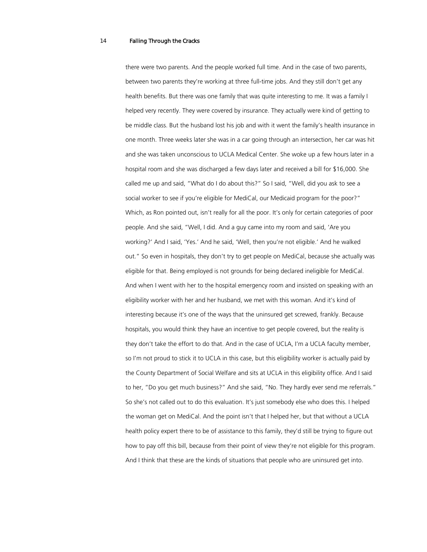there were two parents. And the people worked full time. And in the case of two parents, between two parents they're working at three full-time jobs. And they still don't get any health benefits. But there was one family that was quite interesting to me. It was a family I helped very recently. They were covered by insurance. They actually were kind of getting to be middle class. But the husband lost his job and with it went the family's health insurance in one month. Three weeks later she was in a car going through an intersection, her car was hit and she was taken unconscious to UCLA Medical Center. She woke up a few hours later in a hospital room and she was discharged a few days later and received a bill for \$16,000. She called me up and said, "What do I do about this?" So I said, "Well, did you ask to see a social worker to see if you're eligible for MediCal, our Medicaid program for the poor?" Which, as Ron pointed out, isn't really for all the poor. It's only for certain categories of poor people. And she said, "Well, I did. And a guy came into my room and said, 'Are you working?' And I said, 'Yes.' And he said, 'Well, then you're not eligible.' And he walked out." So even in hospitals, they don't try to get people on MediCal, because she actually was eligible for that. Being employed is not grounds for being declared ineligible for MediCal. And when I went with her to the hospital emergency room and insisted on speaking with an eligibility worker with her and her husband, we met with this woman. And it's kind of interesting because it's one of the ways that the uninsured get screwed, frankly. Because hospitals, you would think they have an incentive to get people covered, but the reality is they don't take the effort to do that. And in the case of UCLA, I'm a UCLA faculty member, so I'm not proud to stick it to UCLA in this case, but this eligibility worker is actually paid by the County Department of Social Welfare and sits at UCLA in this eligibility office. And I said to her, "Do you get much business?" And she said, "No. They hardly ever send me referrals." So she's not called out to do this evaluation. It's just somebody else who does this. I helped the woman get on MediCal. And the point isn't that I helped her, but that without a UCLA health policy expert there to be of assistance to this family, they'd still be trying to figure out how to pay off this bill, because from their point of view they're not eligible for this program. And I think that these are the kinds of situations that people who are uninsured get into.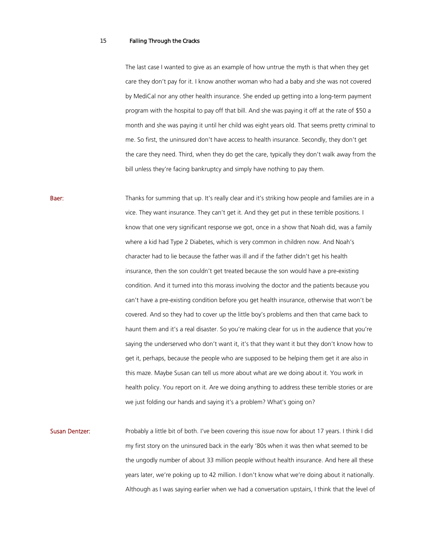The last case I wanted to give as an example of how untrue the myth is that when they get care they don't pay for it. I know another woman who had a baby and she was not covered by MediCal nor any other health insurance. She ended up getting into a long-term payment program with the hospital to pay off that bill. And she was paying it off at the rate of \$50 a month and she was paying it until her child was eight years old. That seems pretty criminal to me. So first, the uninsured don't have access to health insurance. Secondly, they don't get the care they need. Third, when they do get the care, typically they don't walk away from the bill unless they're facing bankruptcy and simply have nothing to pay them.

**Baer:** Thanks for summing that up. It's really clear and it's striking how people and families are in a vice. They want insurance. They can't get it. And they get put in these terrible positions. I know that one very significant response we got, once in a show that Noah did, was a family where a kid had Type 2 Diabetes, which is very common in children now. And Noah's character had to lie because the father was ill and if the father didn't get his health insurance, then the son couldn't get treated because the son would have a pre-existing condition. And it turned into this morass involving the doctor and the patients because you can't have a pre-existing condition before you get health insurance, otherwise that won't be covered. And so they had to cover up the little boy's problems and then that came back to haunt them and it's a real disaster. So you're making clear for us in the audience that you're saying the underserved who don't want it, it's that they want it but they don't know how to get it, perhaps, because the people who are supposed to be helping them get it are also in this maze. Maybe Susan can tell us more about what are we doing about it. You work in health policy. You report on it. Are we doing anything to address these terrible stories or are we just folding our hands and saying it's a problem? What's going on?

Susan Dentzer: Probably a little bit of both. I've been covering this issue now for about 17 years. I think I did my first story on the uninsured back in the early '80s when it was then what seemed to be the ungodly number of about 33 million people without health insurance. And here all these years later, we're poking up to 42 million. I don't know what we're doing about it nationally. Although as I was saying earlier when we had a conversation upstairs, I think that the level of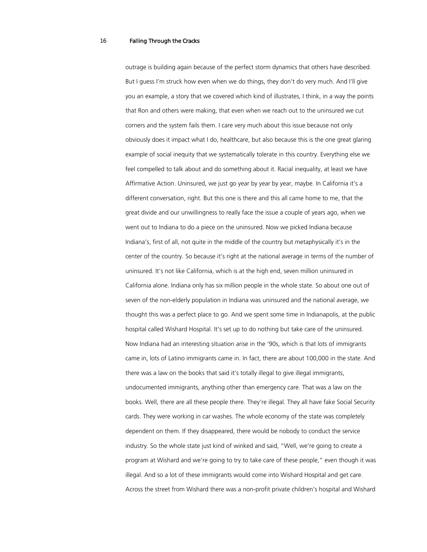outrage is building again because of the perfect storm dynamics that others have described. But I guess I'm struck how even when we do things, they don't do very much. And I'll give you an example, a story that we covered which kind of illustrates, I think, in a way the points that Ron and others were making, that even when we reach out to the uninsured we cut corners and the system fails them. I care very much about this issue because not only obviously does it impact what I do, healthcare, but also because this is the one great glaring example of social inequity that we systematically tolerate in this country. Everything else we feel compelled to talk about and do something about it. Racial inequality, at least we have Affirmative Action. Uninsured, we just go year by year by year, maybe. In California it's a different conversation, right. But this one is there and this all came home to me, that the great divide and our unwillingness to really face the issue a couple of years ago, when we went out to Indiana to do a piece on the uninsured. Now we picked Indiana because Indiana's, first of all, not quite in the middle of the country but metaphysically it's in the center of the country. So because it's right at the national average in terms of the number of uninsured. It's not like California, which is at the high end, seven million uninsured in California alone. Indiana only has six million people in the whole state. So about one out of seven of the non-elderly population in Indiana was uninsured and the national average, we thought this was a perfect place to go. And we spent some time in Indianapolis, at the public hospital called Wishard Hospital. It's set up to do nothing but take care of the uninsured. Now Indiana had an interesting situation arise in the '90s, which is that lots of immigrants came in, lots of Latino immigrants came in. In fact, there are about 100,000 in the state. And there was a law on the books that said it's totally illegal to give illegal immigrants, undocumented immigrants, anything other than emergency care. That was a law on the books. Well, there are all these people there. They're illegal. They all have fake Social Security cards. They were working in car washes. The whole economy of the state was completely dependent on them. If they disappeared, there would be nobody to conduct the service industry. So the whole state just kind of winked and said, "Well, we're going to create a program at Wishard and we're going to try to take care of these people," even though it was illegal. And so a lot of these immigrants would come into Wishard Hospital and get care. Across the street from Wishard there was a non-profit private children's hospital and Wishard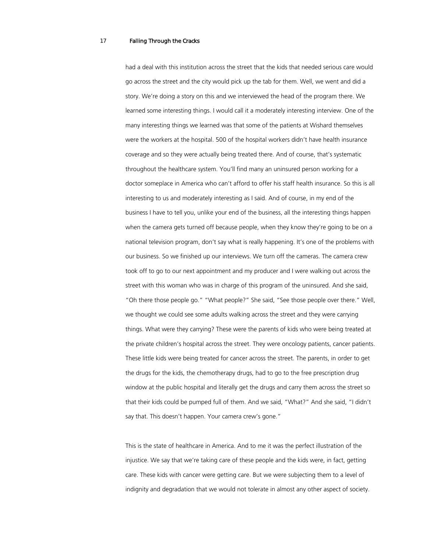had a deal with this institution across the street that the kids that needed serious care would go across the street and the city would pick up the tab for them. Well, we went and did a story. We're doing a story on this and we interviewed the head of the program there. We learned some interesting things. I would call it a moderately interesting interview. One of the many interesting things we learned was that some of the patients at Wishard themselves were the workers at the hospital. 500 of the hospital workers didn't have health insurance coverage and so they were actually being treated there. And of course, that's systematic throughout the healthcare system. You'll find many an uninsured person working for a doctor someplace in America who can't afford to offer his staff health insurance. So this is all interesting to us and moderately interesting as I said. And of course, in my end of the business I have to tell you, unlike your end of the business, all the interesting things happen when the camera gets turned off because people, when they know they're going to be on a national television program, don't say what is really happening. It's one of the problems with our business. So we finished up our interviews. We turn off the cameras. The camera crew took off to go to our next appointment and my producer and I were walking out across the street with this woman who was in charge of this program of the uninsured. And she said, "Oh there those people go." "What people?" She said, "See those people over there." Well, we thought we could see some adults walking across the street and they were carrying things. What were they carrying? These were the parents of kids who were being treated at the private children's hospital across the street. They were oncology patients, cancer patients. These little kids were being treated for cancer across the street. The parents, in order to get the drugs for the kids, the chemotherapy drugs, had to go to the free prescription drug window at the public hospital and literally get the drugs and carry them across the street so that their kids could be pumped full of them. And we said, "What?" And she said, "I didn't say that. This doesn't happen. Your camera crew's gone."

This is the state of healthcare in America. And to me it was the perfect illustration of the injustice. We say that we're taking care of these people and the kids were, in fact, getting care. These kids with cancer were getting care. But we were subjecting them to a level of indignity and degradation that we would not tolerate in almost any other aspect of society.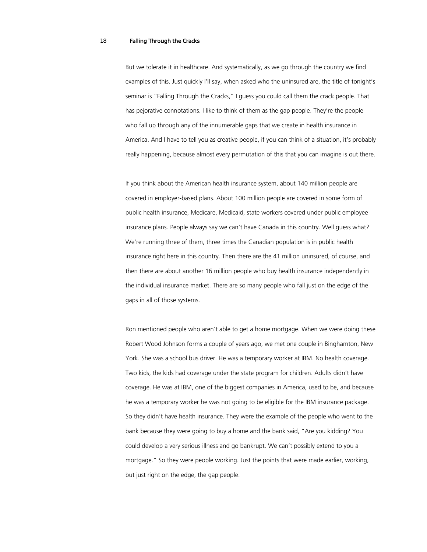But we tolerate it in healthcare. And systematically, as we go through the country we find examples of this. Just quickly I'll say, when asked who the uninsured are, the title of tonight's seminar is "Falling Through the Cracks," I guess you could call them the crack people. That has pejorative connotations. I like to think of them as the gap people. They're the people who fall up through any of the innumerable gaps that we create in health insurance in America. And I have to tell you as creative people, if you can think of a situation, it's probably really happening, because almost every permutation of this that you can imagine is out there.

If you think about the American health insurance system, about 140 million people are covered in employer-based plans. About 100 million people are covered in some form of public health insurance, Medicare, Medicaid, state workers covered under public employee insurance plans. People always say we can't have Canada in this country. Well guess what? We're running three of them, three times the Canadian population is in public health insurance right here in this country. Then there are the 41 million uninsured, of course, and then there are about another 16 million people who buy health insurance independently in the individual insurance market. There are so many people who fall just on the edge of the gaps in all of those systems.

Ron mentioned people who aren't able to get a home mortgage. When we were doing these Robert Wood Johnson forms a couple of years ago, we met one couple in Binghamton, New York. She was a school bus driver. He was a temporary worker at IBM. No health coverage. Two kids, the kids had coverage under the state program for children. Adults didn't have coverage. He was at IBM, one of the biggest companies in America, used to be, and because he was a temporary worker he was not going to be eligible for the IBM insurance package. So they didn't have health insurance. They were the example of the people who went to the bank because they were going to buy a home and the bank said, "Are you kidding? You could develop a very serious illness and go bankrupt. We can't possibly extend to you a mortgage." So they were people working. Just the points that were made earlier, working, but just right on the edge, the gap people.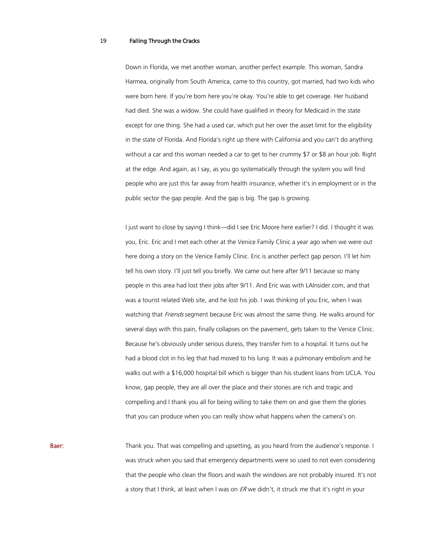Down in Florida, we met another woman, another perfect example. This woman, Sandra Harmea, originally from South America, came to this country, got married, had two kids who were born here. If you're born here you're okay. You're able to get coverage. Her husband had died. She was a widow. She could have qualified in theory for Medicaid in the state except for one thing. She had a used car, which put her over the asset limit for the eligibility in the state of Florida. And Florida's right up there with California and you can't do anything without a car and this woman needed a car to get to her crummy \$7 or \$8 an hour job. Right at the edge. And again, as I say, as you go systematically through the system you will find people who are just this far away from health insurance, whether it's in employment or in the public sector the gap people. And the gap is big. The gap is growing.

I just want to close by saying I think—did I see Eric Moore here earlier? I did. I thought it was you, Eric. Eric and I met each other at the Venice Family Clinic a year ago when we were out here doing a story on the Venice Family Clinic. Eric is another perfect gap person. I'll let him tell his own story. I'll just tell you briefly. We came out here after 9/11 because so many people in this area had lost their jobs after 9/11. And Eric was with LAInsider.com, and that was a tourist related Web site, and he lost his job. I was thinking of you Eric, when I was watching that Friends segment because Eric was almost the same thing. He walks around for several days with this pain, finally collapses on the pavement, gets taken to the Venice Clinic. Because he's obviously under serious duress, they transfer him to a hospital. It turns out he had a blood clot in his leg that had moved to his lung. It was a pulmonary embolism and he walks out with a \$16,000 hospital bill which is bigger than his student loans from UCLA. You know, gap people, they are all over the place and their stories are rich and tragic and compelling and I thank you all for being willing to take them on and give them the glories that you can produce when you can really show what happens when the camera's on.

Baer: Thank you. That was compelling and upsetting, as you heard from the audience's response. I was struck when you said that emergency departments were so used to not even considering that the people who clean the floors and wash the windows are not probably insured. It's not a story that I think, at least when I was on  $ER$  we didn't, it struck me that it's right in your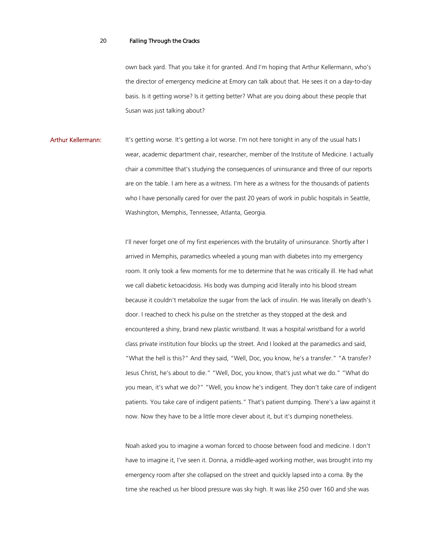own back yard. That you take it for granted. And I'm hoping that Arthur Kellermann, who's the director of emergency medicine at Emory can talk about that. He sees it on a day-to-day basis. Is it getting worse? Is it getting better? What are you doing about these people that Susan was just talking about?

Arthur Kellermann: It's getting worse. It's getting a lot worse. I'm not here tonight in any of the usual hats I wear, academic department chair, researcher, member of the Institute of Medicine. I actually chair a committee that's studying the consequences of uninsurance and three of our reports are on the table. I am here as a witness. I'm here as a witness for the thousands of patients who I have personally cared for over the past 20 years of work in public hospitals in Seattle, Washington, Memphis, Tennessee, Atlanta, Georgia.

> I'll never forget one of my first experiences with the brutality of uninsurance. Shortly after I arrived in Memphis, paramedics wheeled a young man with diabetes into my emergency room. It only took a few moments for me to determine that he was critically ill. He had what we call diabetic ketoacidosis. His body was dumping acid literally into his blood stream because it couldn't metabolize the sugar from the lack of insulin. He was literally on death's door. I reached to check his pulse on the stretcher as they stopped at the desk and encountered a shiny, brand new plastic wristband. It was a hospital wristband for a world class private institution four blocks up the street. And I looked at the paramedics and said, "What the hell is this?" And they said, "Well, Doc, you know, he's a transfer." "A transfer? Jesus Christ, he's about to die." "Well, Doc, you know, that's just what we do." "What do you mean, it's what we do?" "Well, you know he's indigent. They don't take care of indigent patients. You take care of indigent patients." That's patient dumping. There's a law against it now. Now they have to be a little more clever about it, but it's dumping nonetheless.

Noah asked you to imagine a woman forced to choose between food and medicine. I don't have to imagine it, I've seen it. Donna, a middle-aged working mother, was brought into my emergency room after she collapsed on the street and quickly lapsed into a coma. By the time she reached us her blood pressure was sky high. It was like 250 over 160 and she was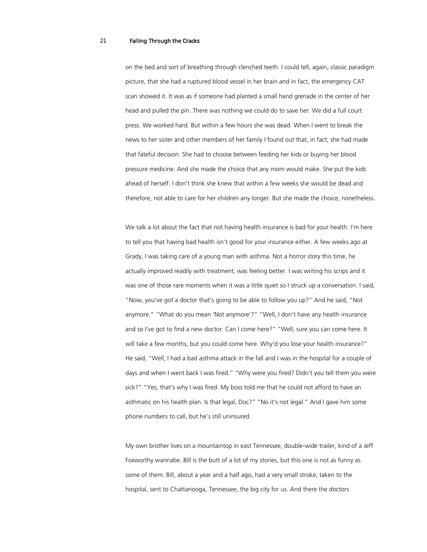on the bed and sort of breathing through clenched teeth. I could tell, again, classic paradigm picture, that she had a ruptured blood vessel in her brain and in fact, the emergency CAT scan showed it. It was as if someone had planted a small hand grenade in the center of her head and pulled the pin. There was nothing we could do to save her. We did a full court press. We worked hard. But within a few hours she was dead. When I went to break the news to her sister and other members of her family I found out that, in fact, she had made that fateful decision. She had to choose between feeding her kids or buying her blood pressure medicine. And she made the choice that any mom would make. She put the kids ahead of herself. I don't think she knew that within a few weeks she would be dead and therefore, not able to care for her children any longer. But she made the choice, nonetheless.

We talk a lot about the fact that not having health insurance is bad for your health. I'm here to tell you that having bad health isn't good for your insurance either. A few weeks ago at Grady, I was taking care of a young man with asthma. Not a horror story this time, he actually improved readily with treatment, was feeling better. I was writing his scrips and it was one of those rare moments when it was a little quiet so I struck up a conversation. I said, "Now, you've got a doctor that's going to be able to follow you up?" And he said, "Not anymore." "What do you mean 'Not anymore'?" "Well, I don't have any health insurance and so I've got to find a new doctor. Can I come here?" "Well, sure you can come here. It will take a few months, but you could come here. Why'd you lose your health insurance?" He said, "Well, I had a bad asthma attack in the fall and I was in the hospital for a couple of days and when I went back I was fired." "Why were you fired? Didn't you tell them you were sick?" "Yes, that's why I was fired. My boss told me that he could not afford to have an asthmatic on his health plan. Is that legal, Doc?" "No it's not legal." And I gave him some phone numbers to call, but he's still uninsured.

My own brother lives on a mountaintop in east Tennessee, double-wide trailer, kind of a Jeff Foxworthy wannabe. Bill is the butt of a lot of my stories, but this one is not as funny as some of them. Bill, about a year and a half ago, had a very small stroke, taken to the hospital, sent to Chattanooga, Tennessee, the big city for us. And there the doctors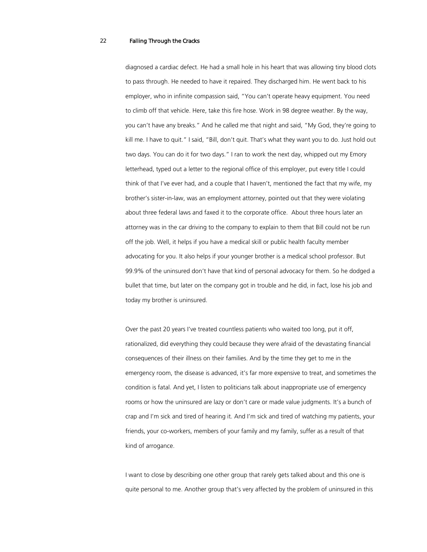diagnosed a cardiac defect. He had a small hole in his heart that was allowing tiny blood clots to pass through. He needed to have it repaired. They discharged him. He went back to his employer, who in infinite compassion said, "You can't operate heavy equipment. You need to climb off that vehicle. Here, take this fire hose. Work in 98 degree weather. By the way, you can't have any breaks." And he called me that night and said, "My God, they're going to kill me. I have to quit." I said, "Bill, don't quit. That's what they want you to do. Just hold out two days. You can do it for two days." I ran to work the next day, whipped out my Emory letterhead, typed out a letter to the regional office of this employer, put every title I could think of that I've ever had, and a couple that I haven't, mentioned the fact that my wife, my brother's sister-in-law, was an employment attorney, pointed out that they were violating about three federal laws and faxed it to the corporate office. About three hours later an attorney was in the car driving to the company to explain to them that Bill could not be run off the job. Well, it helps if you have a medical skill or public health faculty member advocating for you. It also helps if your younger brother is a medical school professor. But 99.9% of the uninsured don't have that kind of personal advocacy for them. So he dodged a bullet that time, but later on the company got in trouble and he did, in fact, lose his job and today my brother is uninsured.

Over the past 20 years I've treated countless patients who waited too long, put it off, rationalized, did everything they could because they were afraid of the devastating financial consequences of their illness on their families. And by the time they get to me in the emergency room, the disease is advanced, it's far more expensive to treat, and sometimes the condition is fatal. And yet, I listen to politicians talk about inappropriate use of emergency rooms or how the uninsured are lazy or don't care or made value judgments. It's a bunch of crap and I'm sick and tired of hearing it. And I'm sick and tired of watching my patients, your friends, your co-workers, members of your family and my family, suffer as a result of that kind of arrogance.

I want to close by describing one other group that rarely gets talked about and this one is quite personal to me. Another group that's very affected by the problem of uninsured in this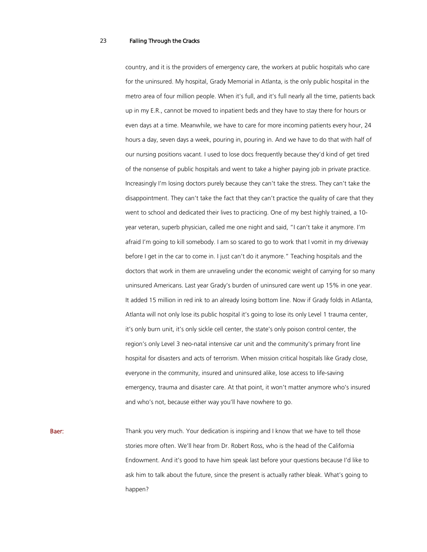country, and it is the providers of emergency care, the workers at public hospitals who care for the uninsured. My hospital, Grady Memorial in Atlanta, is the only public hospital in the metro area of four million people. When it's full, and it's full nearly all the time, patients back up in my E.R., cannot be moved to inpatient beds and they have to stay there for hours or even days at a time. Meanwhile, we have to care for more incoming patients every hour, 24 hours a day, seven days a week, pouring in, pouring in. And we have to do that with half of our nursing positions vacant. I used to lose docs frequently because they'd kind of get tired of the nonsense of public hospitals and went to take a higher paying job in private practice. Increasingly I'm losing doctors purely because they can't take the stress. They can't take the disappointment. They can't take the fact that they can't practice the quality of care that they went to school and dedicated their lives to practicing. One of my best highly trained, a 10 year veteran, superb physician, called me one night and said, "I can't take it anymore. I'm afraid I'm going to kill somebody. I am so scared to go to work that I vomit in my driveway before I get in the car to come in. I just can't do it anymore." Teaching hospitals and the doctors that work in them are unraveling under the economic weight of carrying for so many uninsured Americans. Last year Grady's burden of uninsured care went up 15% in one year. It added 15 million in red ink to an already losing bottom line. Now if Grady folds in Atlanta, Atlanta will not only lose its public hospital it's going to lose its only Level 1 trauma center, it's only burn unit, it's only sickle cell center, the state's only poison control center, the region's only Level 3 neo-natal intensive car unit and the community's primary front line hospital for disasters and acts of terrorism. When mission critical hospitals like Grady close, everyone in the community, insured and uninsured alike, lose access to life-saving emergency, trauma and disaster care. At that point, it won't matter anymore who's insured and who's not, because either way you'll have nowhere to go.

**Baer:** Thank you very much. Your dedication is inspiring and I know that we have to tell those stories more often. We'll hear from Dr. Robert Ross, who is the head of the California Endowment. And it's good to have him speak last before your questions because I'd like to ask him to talk about the future, since the present is actually rather bleak. What's going to happen?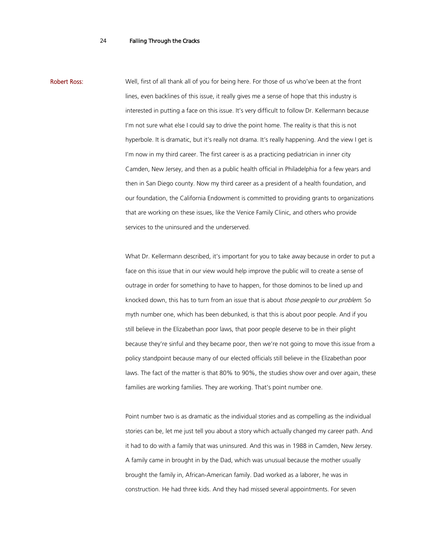Robert Ross: Well, first of all thank all of you for being here. For those of us who've been at the front lines, even backlines of this issue, it really gives me a sense of hope that this industry is interested in putting a face on this issue. It's very difficult to follow Dr. Kellermann because I'm not sure what else I could say to drive the point home. The reality is that this is not hyperbole. It is dramatic, but it's really not drama. It's really happening. And the view I get is I'm now in my third career. The first career is as a practicing pediatrician in inner city Camden, New Jersey, and then as a public health official in Philadelphia for a few years and then in San Diego county. Now my third career as a president of a health foundation, and our foundation, the California Endowment is committed to providing grants to organizations that are working on these issues, like the Venice Family Clinic, and others who provide services to the uninsured and the underserved.

> What Dr. Kellermann described, it's important for you to take away because in order to put a face on this issue that in our view would help improve the public will to create a sense of outrage in order for something to have to happen, for those dominos to be lined up and knocked down, this has to turn from an issue that is about those people to our problem. So myth number one, which has been debunked, is that this is about poor people. And if you still believe in the Elizabethan poor laws, that poor people deserve to be in their plight because they're sinful and they became poor, then we're not going to move this issue from a policy standpoint because many of our elected officials still believe in the Elizabethan poor laws. The fact of the matter is that 80% to 90%, the studies show over and over again, these families are working families. They are working. That's point number one.

Point number two is as dramatic as the individual stories and as compelling as the individual stories can be, let me just tell you about a story which actually changed my career path. And it had to do with a family that was uninsured. And this was in 1988 in Camden, New Jersey. A family came in brought in by the Dad, which was unusual because the mother usually brought the family in, African-American family. Dad worked as a laborer, he was in construction. He had three kids. And they had missed several appointments. For seven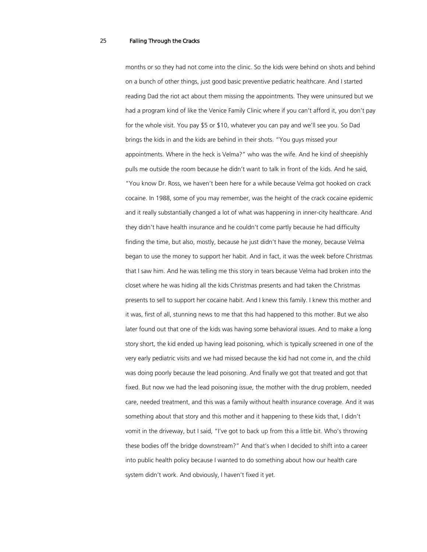months or so they had not come into the clinic. So the kids were behind on shots and behind on a bunch of other things, just good basic preventive pediatric healthcare. And I started reading Dad the riot act about them missing the appointments. They were uninsured but we had a program kind of like the Venice Family Clinic where if you can't afford it, you don't pay for the whole visit. You pay \$5 or \$10, whatever you can pay and we'll see you. So Dad brings the kids in and the kids are behind in their shots. "You guys missed your appointments. Where in the heck is Velma?" who was the wife. And he kind of sheepishly pulls me outside the room because he didn't want to talk in front of the kids. And he said, "You know Dr. Ross, we haven't been here for a while because Velma got hooked on crack cocaine. In 1988, some of you may remember, was the height of the crack cocaine epidemic and it really substantially changed a lot of what was happening in inner-city healthcare. And they didn't have health insurance and he couldn't come partly because he had difficulty finding the time, but also, mostly, because he just didn't have the money, because Velma began to use the money to support her habit. And in fact, it was the week before Christmas that I saw him. And he was telling me this story in tears because Velma had broken into the closet where he was hiding all the kids Christmas presents and had taken the Christmas presents to sell to support her cocaine habit. And I knew this family. I knew this mother and it was, first of all, stunning news to me that this had happened to this mother. But we also later found out that one of the kids was having some behavioral issues. And to make a long story short, the kid ended up having lead poisoning, which is typically screened in one of the very early pediatric visits and we had missed because the kid had not come in, and the child was doing poorly because the lead poisoning. And finally we got that treated and got that fixed. But now we had the lead poisoning issue, the mother with the drug problem, needed care, needed treatment, and this was a family without health insurance coverage. And it was something about that story and this mother and it happening to these kids that, I didn't vomit in the driveway, but I said, "I've got to back up from this a little bit. Who's throwing these bodies off the bridge downstream?" And that's when I decided to shift into a career into public health policy because I wanted to do something about how our health care system didn't work. And obviously, I haven't fixed it yet.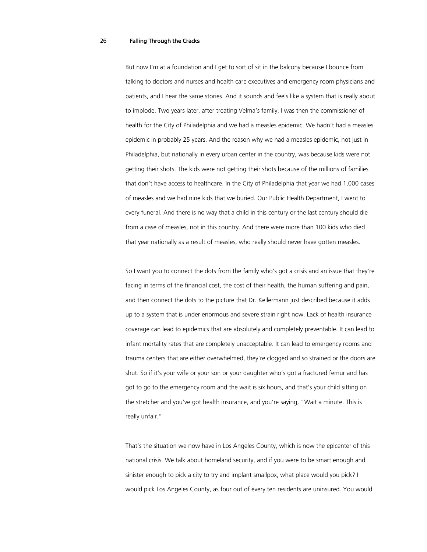But now I'm at a foundation and I get to sort of sit in the balcony because I bounce from talking to doctors and nurses and health care executives and emergency room physicians and patients, and I hear the same stories. And it sounds and feels like a system that is really about to implode. Two years later, after treating Velma's family, I was then the commissioner of health for the City of Philadelphia and we had a measles epidemic. We hadn't had a measles epidemic in probably 25 years. And the reason why we had a measles epidemic, not just in Philadelphia, but nationally in every urban center in the country, was because kids were not getting their shots. The kids were not getting their shots because of the millions of families that don't have access to healthcare. In the City of Philadelphia that year we had 1,000 cases of measles and we had nine kids that we buried. Our Public Health Department, I went to every funeral. And there is no way that a child in this century or the last century should die from a case of measles, not in this country. And there were more than 100 kids who died that year nationally as a result of measles, who really should never have gotten measles.

So I want you to connect the dots from the family who's got a crisis and an issue that they're facing in terms of the financial cost, the cost of their health, the human suffering and pain, and then connect the dots to the picture that Dr. Kellermann just described because it adds up to a system that is under enormous and severe strain right now. Lack of health insurance coverage can lead to epidemics that are absolutely and completely preventable. It can lead to infant mortality rates that are completely unacceptable. It can lead to emergency rooms and trauma centers that are either overwhelmed, they're clogged and so strained or the doors are shut. So if it's your wife or your son or your daughter who's got a fractured femur and has got to go to the emergency room and the wait is six hours, and that's your child sitting on the stretcher and you've got health insurance, and you're saying, "Wait a minute. This is really unfair."

That's the situation we now have in Los Angeles County, which is now the epicenter of this national crisis. We talk about homeland security, and if you were to be smart enough and sinister enough to pick a city to try and implant smallpox, what place would you pick? I would pick Los Angeles County, as four out of every ten residents are uninsured. You would